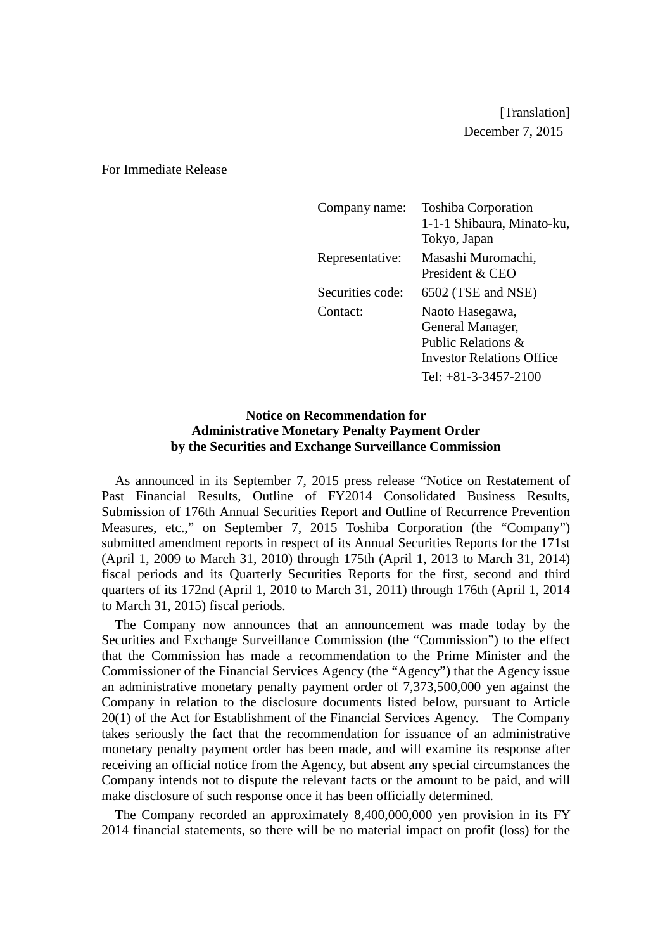[Translation] December 7, 2015

For Immediate Release

| Company name:    | <b>Toshiba Corporation</b><br>1-1-1 Shibaura, Minato-ku,<br>Tokyo, Japan                                                |
|------------------|-------------------------------------------------------------------------------------------------------------------------|
| Representative:  | Masashi Muromachi,<br>President & CEO                                                                                   |
| Securities code: | 6502 (TSE and NSE)                                                                                                      |
| Contact:         | Naoto Hasegawa,<br>General Manager,<br>Public Relations &<br><b>Investor Relations Office</b><br>Tel: $+81-3-3457-2100$ |

## **Notice on Recommendation for Administrative Monetary Penalty Payment Order by the Securities and Exchange Surveillance Commission**

As announced in its September 7, 2015 press release "Notice on Restatement of Past Financial Results, Outline of FY2014 Consolidated Business Results, Submission of 176th Annual Securities Report and Outline of Recurrence Prevention Measures, etc.," on September 7, 2015 Toshiba Corporation (the "Company") submitted amendment reports in respect of its Annual Securities Reports for the 171st (April 1, 2009 to March 31, 2010) through 175th (April 1, 2013 to March 31, 2014) fiscal periods and its Quarterly Securities Reports for the first, second and third quarters of its 172nd (April 1, 2010 to March 31, 2011) through 176th (April 1, 2014 to March 31, 2015) fiscal periods.

The Company now announces that an announcement was made today by the Securities and Exchange Surveillance Commission (the "Commission") to the effect that the Commission has made a recommendation to the Prime Minister and the Commissioner of the Financial Services Agency (the "Agency") that the Agency issue an administrative monetary penalty payment order of 7,373,500,000 yen against the Company in relation to the disclosure documents listed below, pursuant to Article 20(1) of the Act for Establishment of the Financial Services Agency. The Company takes seriously the fact that the recommendation for issuance of an administrative monetary penalty payment order has been made, and will examine its response after receiving an official notice from the Agency, but absent any special circumstances the Company intends not to dispute the relevant facts or the amount to be paid, and will make disclosure of such response once it has been officially determined.

The Company recorded an approximately 8,400,000,000 yen provision in its FY 2014 financial statements, so there will be no material impact on profit (loss) for the